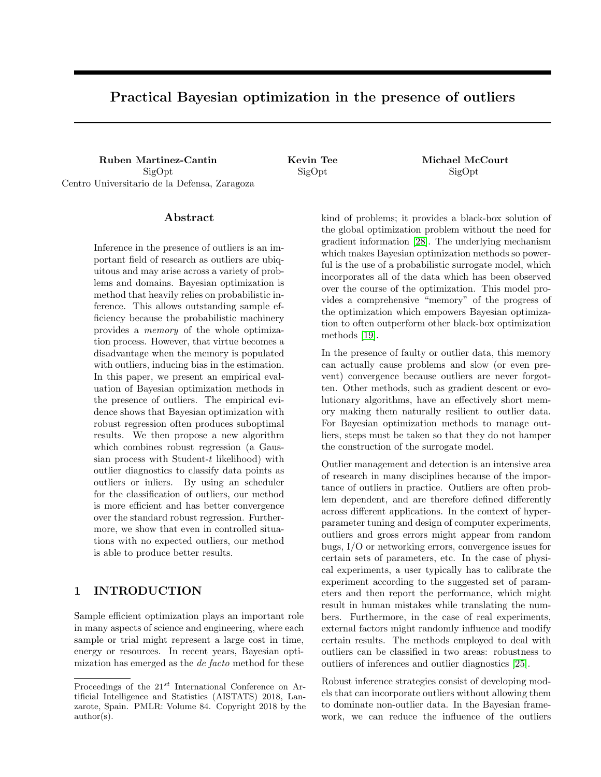# Practical Bayesian optimization in the presence of outliers

Ruben Martinez-Cantin Kevin Tee Michael McCourt SigOpt Centro Universitario de la Defensa, Zaragoza

SigOpt SigOpt

#### Abstract

Inference in the presence of outliers is an important field of research as outliers are ubiquitous and may arise across a variety of problems and domains. Bayesian optimization is method that heavily relies on probabilistic inference. This allows outstanding sample efficiency because the probabilistic machinery provides a memory of the whole optimization process. However, that virtue becomes a disadvantage when the memory is populated with outliers, inducing bias in the estimation. In this paper, we present an empirical evaluation of Bayesian optimization methods in the presence of outliers. The empirical evidence shows that Bayesian optimization with robust regression often produces suboptimal results. We then propose a new algorithm which combines robust regression (a Gaussian process with Student-t likelihood) with outlier diagnostics to classify data points as outliers or inliers. By using an scheduler for the classification of outliers, our method is more efficient and has better convergence over the standard robust regression. Furthermore, we show that even in controlled situations with no expected outliers, our method is able to produce better results.

# 1 INTRODUCTION

Sample efficient optimization plays an important role in many aspects of science and engineering, where each sample or trial might represent a large cost in time, energy or resources. In recent years, Bayesian optimization has emerged as the de facto method for these

kind of problems; it provides a black-box solution of the global optimization problem without the need for gradient information [\[28\]](#page-9-0). The underlying mechanism which makes Bayesian optimization methods so powerful is the use of a probabilistic surrogate model, which incorporates all of the data which has been observed over the course of the optimization. This model provides a comprehensive "memory" of the progress of the optimization which empowers Bayesian optimization to often outperform other black-box optimization methods [\[19\]](#page-8-0).

In the presence of faulty or outlier data, this memory can actually cause problems and slow (or even prevent) convergence because outliers are never forgotten. Other methods, such as gradient descent or evolutionary algorithms, have an effectively short memory making them naturally resilient to outlier data. For Bayesian optimization methods to manage outliers, steps must be taken so that they do not hamper the construction of the surrogate model.

Outlier management and detection is an intensive area of research in many disciplines because of the importance of outliers in practice. Outliers are often problem dependent, and are therefore defined differently across different applications. In the context of hyperparameter tuning and design of computer experiments, outliers and gross errors might appear from random bugs, I/O or networking errors, convergence issues for certain sets of parameters, etc. In the case of physical experiments, a user typically has to calibrate the experiment according to the suggested set of parameters and then report the performance, which might result in human mistakes while translating the numbers. Furthermore, in the case of real experiments, external factors might randomly influence and modify certain results. The methods employed to deal with outliers can be classified in two areas: robustness to outliers of inferences and outlier diagnostics [\[25\]](#page-9-1).

Robust inference strategies consist of developing models that can incorporate outliers without allowing them to dominate non-outlier data. In the Bayesian framework, we can reduce the influence of the outliers

Proceedings of the  $21^{st}$  International Conference on Artificial Intelligence and Statistics (AISTATS) 2018, Lanzarote, Spain. PMLR: Volume 84. Copyright 2018 by the author(s).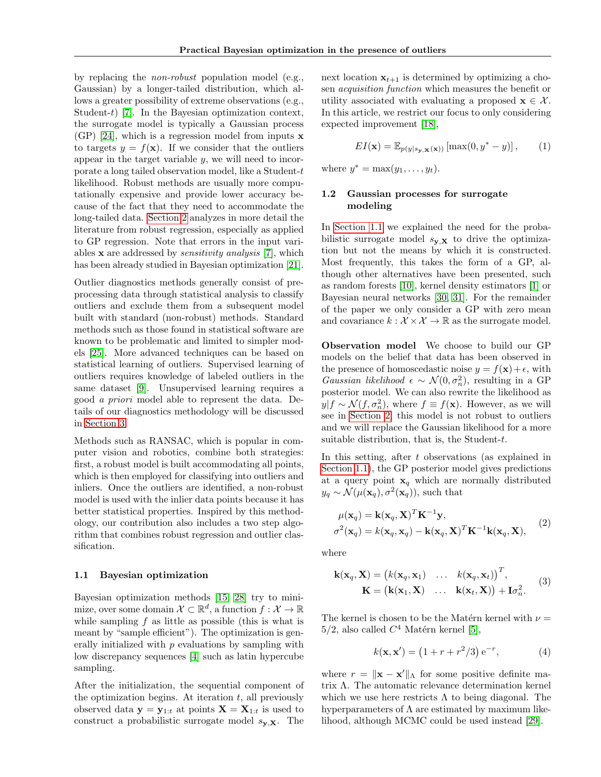by replacing the non-robust population model (e.g., Gaussian) by a longer-tailed distribution, which allows a greater possibility of extreme observations (e.g., Student-t) [\[7\]](#page-8-1). In the Bayesian optimization context, the surrogate model is typically a Gaussian process (GP) [\[24\]](#page-9-2), which is a regression model from inputs  $x$ to targets  $y = f(\mathbf{x})$ . If we consider that the outliers appear in the target variable  $y$ , we will need to incorporate a long tailed observation model, like a Student-t likelihood. Robust methods are usually more computationally expensive and provide lower accuracy because of the fact that they need to accommodate the long-tailed data. [Section 2](#page-2-0) analyzes in more detail the literature from robust regression, especially as applied to GP regression. Note that errors in the input variables x are addressed by sensitivity analysis [\[7\]](#page-8-1), which has been already studied in Bayesian optimization [\[21\]](#page-8-2).

Outlier diagnostics methods generally consist of preprocessing data through statistical analysis to classify outliers and exclude them from a subsequent model built with standard (non-robust) methods. Standard methods such as those found in statistical software are known to be problematic and limited to simpler models [\[25\]](#page-9-1). More advanced techniques can be based on statistical learning of outliers. Supervised learning of outliers requires knowledge of labeled outliers in the same dataset [\[9\]](#page-8-3). Unsupervised learning requires a good a priori model able to represent the data. Details of our diagnostics methodology will be discussed in [Section 3.](#page-4-0)

Methods such as RANSAC, which is popular in computer vision and robotics, combine both strategies: first, a robust model is built accommodating all points, which is then employed for classifying into outliers and inliers. Once the outliers are identified, a non-robust model is used with the inlier data points because it has better statistical properties. Inspired by this methodology, our contribution also includes a two step algorithm that combines robust regression and outlier classification.

#### <span id="page-1-0"></span>1.1 Bayesian optimization

Bayesian optimization methods [\[15,](#page-8-4) [28\]](#page-9-0) try to minimize, over some domain  $\mathcal{X} \subset \mathbb{R}^d$ , a function  $f: \mathcal{X} \to \mathbb{R}$ while sampling  $f$  as little as possible (this is what is meant by "sample efficient"). The optimization is generally initialized with p evaluations by sampling with low discrepancy sequences [\[4\]](#page-8-5) such as latin hypercube sampling.

After the initialization, the sequential component of the optimization begins. At iteration  $t$ , all previously observed data  $y = y_{1:t}$  at points  $X = X_{1:t}$  is used to construct a probabilistic surrogate model  $s_{y,X}$ . The

next location  $x_{t+1}$  is determined by optimizing a chosen acquisition function which measures the benefit or utility associated with evaluating a proposed  $\mathbf{x} \in \mathcal{X}$ . In this article, we restrict our focus to only considering expected improvement [\[18\]](#page-8-6),

$$
EI(\mathbf{x}) = \mathbb{E}_{p(y|s_{\mathbf{y},\mathbf{X}}(\mathbf{x}))} [\max(0, y^* - y)], \qquad (1)
$$

where  $y^* = \max(y_1, \ldots, y_t)$ .

#### <span id="page-1-3"></span>1.2 Gaussian processes for surrogate modeling

In [Section 1.1](#page-1-0) we explained the need for the probabilistic surrogate model  $s_{y,X}$  to drive the optimization but not the means by which it is constructed. Most frequently, this takes the form of a GP, although other alternatives have been presented, such as random forests [\[10\]](#page-8-7), kernel density estimators [\[1\]](#page-8-8) or Bayesian neural networks [\[30,](#page-9-3) [31\]](#page-9-4). For the remainder of the paper we only consider a GP with zero mean and covariance  $k : \mathcal{X} \times \mathcal{X} \to \mathbb{R}$  as the surrogate model.

Observation model We choose to build our GP models on the belief that data has been observed in the presence of homoscedastic noise  $y = f(\mathbf{x}) + \epsilon$ , with Gaussian likelihood  $\epsilon \sim \mathcal{N}(0, \sigma_n^2)$ , resulting in a GP posterior model. We can also rewrite the likelihood as  $y|f \sim \mathcal{N}(f, \sigma_n^2)$ , where  $f \equiv f(\mathbf{x})$ . However, as we will see in [Section 2,](#page-2-0) this model is not robust to outliers and we will replace the Gaussian likelihood for a more suitable distribution, that is, the Student-t.

In this setting, after  $t$  observations (as explained in [Section 1.1\)](#page-1-0), the GP posterior model gives predictions at a query point  $x_q$  which are normally distributed  $y_q \sim \mathcal{N}(\mu(\mathbf{x}_q), \sigma^2(\mathbf{x}_q)),$  such that

<span id="page-1-2"></span>
$$
\mu(\mathbf{x}_q) = \mathbf{k}(\mathbf{x}_q, \mathbf{X})^T \mathbf{K}^{-1} \mathbf{y},
$$
  
\n
$$
\sigma^2(\mathbf{x}_q) = k(\mathbf{x}_q, \mathbf{x}_q) - \mathbf{k}(\mathbf{x}_q, \mathbf{X})^T \mathbf{K}^{-1} \mathbf{k}(\mathbf{x}_q, \mathbf{X}),
$$
\n(2)

where

<span id="page-1-1"></span>
$$
\mathbf{k}(\mathbf{x}_q, \mathbf{X}) = (k(\mathbf{x}_q, \mathbf{x}_1) \quad \dots \quad k(\mathbf{x}_q, \mathbf{x}_t))^T, \mathbf{K} = (\mathbf{k}(\mathbf{x}_1, \mathbf{X}) \quad \dots \quad \mathbf{k}(\mathbf{x}_t, \mathbf{X})) + \mathbf{I}\sigma_n^2.
$$
\n(3)

The kernel is chosen to be the Matérn kernel with  $\nu =$  $5/2$ , also called  $C<sup>4</sup>$  Matérn kernel [\[5\]](#page-8-9),

$$
k(\mathbf{x}, \mathbf{x}') = (1 + r + r^2/3) e^{-r}, \tag{4}
$$

where  $r = ||\mathbf{x} - \mathbf{x}'||_{\Lambda}$  for some positive definite matrix Λ. The automatic relevance determination kernel which we use here restricts  $\Lambda$  to being diagonal. The hyperparameters of  $\Lambda$  are estimated by maximum likelihood, although MCMC could be used instead [\[29\]](#page-9-5).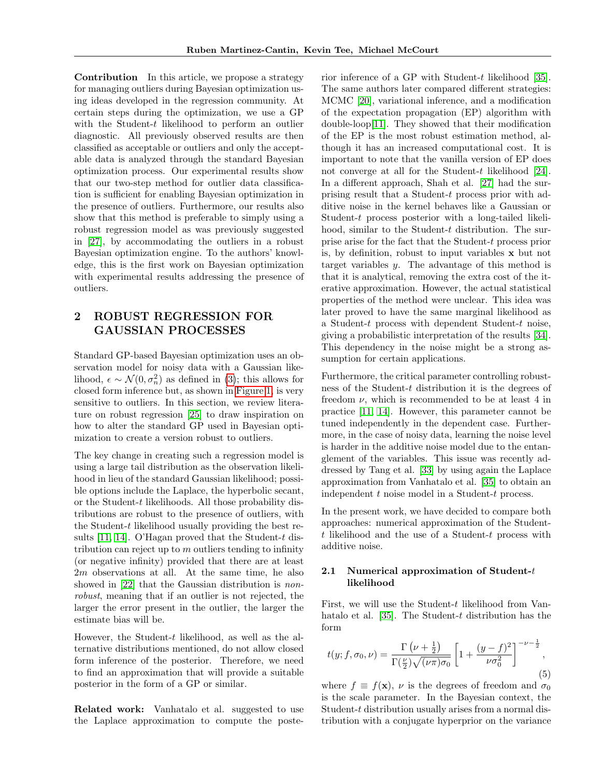Contribution In this article, we propose a strategy for managing outliers during Bayesian optimization using ideas developed in the regression community. At certain steps during the optimization, we use a GP with the Student-t likelihood to perform an outlier diagnostic. All previously observed results are then classified as acceptable or outliers and only the acceptable data is analyzed through the standard Bayesian optimization process. Our experimental results show that our two-step method for outlier data classification is sufficient for enabling Bayesian optimization in the presence of outliers. Furthermore, our results also show that this method is preferable to simply using a robust regression model as was previously suggested in [\[27\]](#page-9-6), by accommodating the outliers in a robust Bayesian optimization engine. To the authors' knowledge, this is the first work on Bayesian optimization with experimental results addressing the presence of outliers.

# <span id="page-2-0"></span>2 ROBUST REGRESSION FOR GAUSSIAN PROCESSES

Standard GP-based Bayesian optimization uses an observation model for noisy data with a Gaussian likelihood,  $\epsilon \sim \mathcal{N}(0, \sigma_n^2)$  as defined in [\(3\)](#page-1-1); this allows for closed form inference but, as shown in [Figure 1,](#page-3-0) is very sensitive to outliers. In this section, we review literature on robust regression [\[25\]](#page-9-1) to draw inspiration on how to alter the standard GP used in Bayesian optimization to create a version robust to outliers.

The key change in creating such a regression model is using a large tail distribution as the observation likelihood in lieu of the standard Gaussian likelihood; possible options include the Laplace, the hyperbolic secant, or the Student-t likelihoods. All those probability distributions are robust to the presence of outliers, with the Student-t likelihood usually providing the best re-sults [\[11,](#page-8-10) [14\]](#page-8-11). O'Hagan proved that the Student-t distribution can reject up to  $m$  outliers tending to infinity (or negative infinity) provided that there are at least 2m observations at all. At the same time, he also showed in [\[22\]](#page-8-12) that the Gaussian distribution is nonrobust, meaning that if an outlier is not rejected, the larger the error present in the outlier, the larger the estimate bias will be.

However, the Student-t likelihood, as well as the alternative distributions mentioned, do not allow closed form inference of the posterior. Therefore, we need to find an approximation that will provide a suitable posterior in the form of a GP or similar.

Related work: Vanhatalo et al. suggested to use the Laplace approximation to compute the poste-

rior inference of a GP with Student-t likelihood [\[35\]](#page-9-7). The same authors later compared different strategies: MCMC [\[20\]](#page-8-13), variational inference, and a modification of the expectation propagation (EP) algorithm with double-loop[\[11\]](#page-8-10). They showed that their modification of the EP is the most robust estimation method, although it has an increased computational cost. It is important to note that the vanilla version of EP does not converge at all for the Student-t likelihood [\[24\]](#page-9-2). In a different approach, Shah et al. [\[27\]](#page-9-6) had the surprising result that a Student-t process prior with additive noise in the kernel behaves like a Gaussian or Student-t process posterior with a long-tailed likelihood, similar to the Student-t distribution. The surprise arise for the fact that the Student-t process prior is, by definition, robust to input variables x but not target variables y. The advantage of this method is that it is analytical, removing the extra cost of the iterative approximation. However, the actual statistical properties of the method were unclear. This idea was later proved to have the same marginal likelihood as a Student-t process with dependent Student-t noise, giving a probabilistic interpretation of the results [\[34\]](#page-9-8). This dependency in the noise might be a strong assumption for certain applications.

Furthermore, the critical parameter controlling robustness of the Student-t distribution it is the degrees of freedom  $\nu$ , which is recommended to be at least 4 in practice [\[11,](#page-8-10) [14\]](#page-8-11). However, this parameter cannot be tuned independently in the dependent case. Furthermore, in the case of noisy data, learning the noise level is harder in the additive noise model due to the entanglement of the variables. This issue was recently addressed by Tang et al. [\[33\]](#page-9-9) by using again the Laplace approximation from Vanhatalo et al. [\[35\]](#page-9-7) to obtain an independent t noise model in a Student-t process.

In the present work, we have decided to compare both approaches: numerical approximation of the Student $t$  likelihood and the use of a Student- $t$  process with additive noise.

#### <span id="page-2-1"></span>2.1 Numerical approximation of Student- $t$ likelihood

First, we will use the Student- $t$  likelihood from Van-hatalo et al. [\[35\]](#page-9-7). The Student-t distribution has the form

$$
t(y; f, \sigma_0, \nu) = \frac{\Gamma\left(\nu + \frac{1}{2}\right)}{\Gamma(\frac{\nu}{2})\sqrt{(\nu\pi)\sigma_0}} \left[1 + \frac{(y-f)^2}{\nu\sigma_0^2}\right]^{-\nu - \frac{1}{2}},\tag{5}
$$

where  $f \equiv f(\mathbf{x})$ ,  $\nu$  is the degrees of freedom and  $\sigma_0$ is the scale parameter. In the Bayesian context, the Student-t distribution usually arises from a normal distribution with a conjugate hyperprior on the variance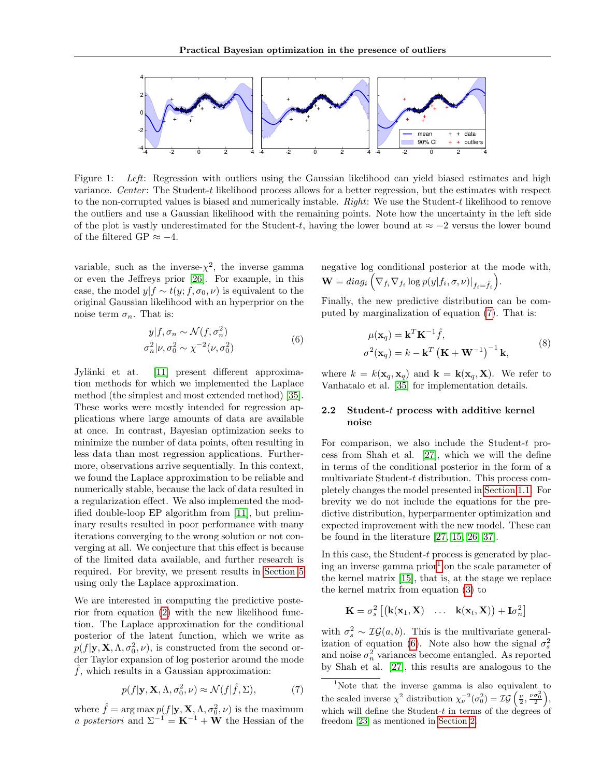

<span id="page-3-0"></span>Figure 1: Left: Regression with outliers using the Gaussian likelihood can yield biased estimates and high variance. Center: The Student-t likelihood process allows for a better regression, but the estimates with respect to the non-corrupted values is biased and numerically instable. Right: We use the Student-t likelihood to remove the outliers and use a Gaussian likelihood with the remaining points. Note how the uncertainty in the left side of the plot is vastly underestimated for the Student-t, having the lower bound at  $\approx -2$  versus the lower bound of the filtered GP  $\approx -4$ .

variable, such as the inverse- $\chi^2$ , the inverse gamma or even the Jeffreys prior [\[26\]](#page-9-10). For example, in this case, the model  $y|f \sim t(y; f, \sigma_0, \nu)$  is equivalent to the original Gaussian likelihood with an hyperprior on the noise term  $\sigma_n$ . That is:

$$
y|f, \sigma_n \sim \mathcal{N}(f, \sigma_n^2)
$$
  
\n
$$
\sigma_n^2|\nu, \sigma_0^2 \sim \chi^{-2}(\nu, \sigma_0^2)
$$
\n(6)

<span id="page-3-3"></span>Jylänki et at. [\[11\]](#page-8-10) present different approximation methods for which we implemented the Laplace method (the simplest and most extended method) [\[35\]](#page-9-7). These works were mostly intended for regression applications where large amounts of data are available at once. In contrast, Bayesian optimization seeks to minimize the number of data points, often resulting in less data than most regression applications. Furthermore, observations arrive sequentially. In this context, we found the Laplace approximation to be reliable and numerically stable, because the lack of data resulted in a regularization effect. We also implemented the modified double-loop EP algorithm from [\[11\]](#page-8-10), but preliminary results resulted in poor performance with many iterations converging to the wrong solution or not converging at all. We conjecture that this effect is because of the limited data available, and further research is required. For brevity, we present results in [Section 5](#page-5-0) using only the Laplace approximation.

We are interested in computing the predictive posterior from equation [\(2\)](#page-1-2) with the new likelihood function. The Laplace approximation for the conditional posterior of the latent function, which we write as  $p(f|\mathbf{y}, \mathbf{X}, \Lambda, \sigma_0^2, \nu)$ , is constructed from the second order Taylor expansion of log posterior around the mode  $\hat{f}$ , which results in a Gaussian approximation:

<span id="page-3-1"></span>
$$
p(f|\mathbf{y}, \mathbf{X}, \Lambda, \sigma_0^2, \nu) \approx \mathcal{N}(f|\hat{f}, \Sigma),
$$
 (7)

where  $\hat{f} = \arg \max p(f|\mathbf{y}, \mathbf{X}, \Lambda, \sigma_0^2, \nu)$  is the maximum a posteriori and  $\Sigma^{-1} = \mathbf{K}^{-1} + \mathbf{W}$  the Hessian of the negative log conditional posterior at the mode with,  $\mathbf{W} = diag_i \left( \nabla_{f_i} \nabla_{f_i} \log p(y|f_i, \sigma, \nu) \big|_{f_i = \hat{f_i}} \right).$ 

Finally, the new predictive distribution can be computed by marginalization of equation [\(7\)](#page-3-1). That is:

$$
\mu(\mathbf{x}_q) = \mathbf{k}^T \mathbf{K}^{-1} \hat{f},
$$
  
\n
$$
\sigma^2(\mathbf{x}_q) = k - \mathbf{k}^T (\mathbf{K} + \mathbf{W}^{-1})^{-1} \mathbf{k},
$$
\n(8)

where  $k = k(\mathbf{x}_q, \mathbf{x}_q)$  and  $\mathbf{k} = \mathbf{k}(\mathbf{x}_q, \mathbf{X})$ . We refer to Vanhatalo et al. [\[35\]](#page-9-7) for implementation details.

### <span id="page-3-4"></span>2.2 Student- $t$  process with additive kernel noise

For comparison, we also include the Student-t process from Shah et al. [\[27\]](#page-9-6), which we will the define in terms of the conditional posterior in the form of a multivariate Student-t distribution. This process completely changes the model presented in [Section 1.1.](#page-1-0) For brevity we do not include the equations for the predictive distribution, hyperparmenter optimization and expected improvement with the new model. These can be found in the literature [\[27,](#page-9-6) [15,](#page-8-4) [26,](#page-9-10) [37\]](#page-9-11).

In this case, the Student-t process is generated by plac-ing an inverse gamma prior<sup>[1](#page-3-2)</sup> on the scale parameter of the kernel matrix [\[15\]](#page-8-4), that is, at the stage we replace the kernel matrix from equation [\(3\)](#page-1-1) to

$$
\mathbf{K} = \sigma_s^2 \left[ \begin{pmatrix} \mathbf{k}(\mathbf{x}_1, \mathbf{X}) & \dots & \mathbf{k}(\mathbf{x}_t, \mathbf{X}) \end{pmatrix} + \mathbf{I} \sigma_n^2 \right]
$$

with  $\sigma_s^2 \sim \mathcal{IG}(a, b)$ . This is the multivariate general-ization of equation [\(6\)](#page-3-3). Note also how the signal  $\sigma_s^2$ and noise  $\sigma_n^2$  variances become entangled. As reported by Shah et al. [\[27\]](#page-9-6), this results are analogous to the

<span id="page-3-2"></span><sup>1</sup>Note that the inverse gamma is also equivalent to the scaled inverse  $\chi^2$  distribution  $\chi_{\nu}^{-2}(\sigma_0^2) = \mathcal{IG}\left(\frac{\nu}{2}, \frac{\nu \sigma_0^2}{2}\right)$ , which will define the Student- $t$  in terms of the degrees of freedom [\[23\]](#page-8-14) as mentioned in [Section 2.](#page-2-0)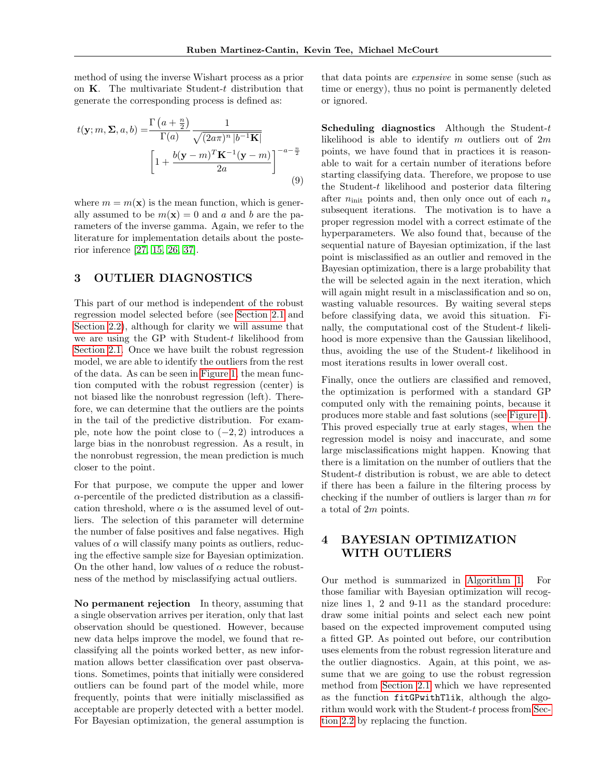method of using the inverse Wishart process as a prior on  $K$ . The multivariate Student-t distribution that generate the corresponding process is defined as:

$$
t(\mathbf{y}; m, \Sigma, a, b) = \frac{\Gamma\left(a + \frac{n}{2}\right)}{\Gamma(a)} \frac{1}{\sqrt{(2a\pi)^n |b^{-1}\mathbf{K}|}}
$$

$$
\left[1 + \frac{b(\mathbf{y} - m)^T \mathbf{K}^{-1}(\mathbf{y} - m)}{2a}\right]^{-a - \frac{n}{2}}
$$
(9)

where  $m = m(\mathbf{x})$  is the mean function, which is generally assumed to be  $m(\mathbf{x}) = 0$  and a and b are the parameters of the inverse gamma. Again, we refer to the literature for implementation details about the posterior inference [\[27,](#page-9-6) [15,](#page-8-4) [26,](#page-9-10) [37\]](#page-9-11).

### <span id="page-4-0"></span>3 OUTLIER DIAGNOSTICS

This part of our method is independent of the robust regression model selected before (see [Section 2.1](#page-2-1) and [Section 2.2\)](#page-3-4), although for clarity we will assume that we are using the GP with Student-t likelihood from [Section 2.1.](#page-2-1) Once we have built the robust regression model, we are able to identify the outliers from the rest of the data. As can be seen in [Figure 1,](#page-3-0) the mean function computed with the robust regression (center) is not biased like the nonrobust regression (left). Therefore, we can determine that the outliers are the points in the tail of the predictive distribution. For example, note how the point close to  $(-2, 2)$  introduces a large bias in the nonrobust regression. As a result, in the nonrobust regression, the mean prediction is much closer to the point.

For that purpose, we compute the upper and lower  $\alpha$ -percentile of the predicted distribution as a classification threshold, where  $\alpha$  is the assumed level of outliers. The selection of this parameter will determine the number of false positives and false negatives. High values of  $\alpha$  will classify many points as outliers, reducing the effective sample size for Bayesian optimization. On the other hand, low values of  $\alpha$  reduce the robustness of the method by misclassifying actual outliers.

No permanent rejection In theory, assuming that a single observation arrives per iteration, only that last observation should be questioned. However, because new data helps improve the model, we found that reclassifying all the points worked better, as new information allows better classification over past observations. Sometimes, points that initially were considered outliers can be found part of the model while, more frequently, points that were initially misclassified as acceptable are properly detected with a better model. For Bayesian optimization, the general assumption is that data points are expensive in some sense (such as time or energy), thus no point is permanently deleted or ignored.

Scheduling diagnostics Although the Student- $t$ likelihood is able to identify m outliers out of  $2m$ points, we have found that in practices it is reasonable to wait for a certain number of iterations before starting classifying data. Therefore, we propose to use the Student-t likelihood and posterior data filtering after  $n_{\text{init}}$  points and, then only once out of each  $n_s$ subsequent iterations. The motivation is to have a proper regression model with a correct estimate of the hyperparameters. We also found that, because of the sequential nature of Bayesian optimization, if the last point is misclassified as an outlier and removed in the Bayesian optimization, there is a large probability that the will be selected again in the next iteration, which will again might result in a misclassification and so on, wasting valuable resources. By waiting several steps before classifying data, we avoid this situation. Finally, the computational cost of the Student- $t$  likelihood is more expensive than the Gaussian likelihood, thus, avoiding the use of the Student- $t$  likelihood in most iterations results in lower overall cost.

Finally, once the outliers are classified and removed, the optimization is performed with a standard GP computed only with the remaining points, because it produces more stable and fast solutions (see [Figure 1\)](#page-3-0). This proved especially true at early stages, when the regression model is noisy and inaccurate, and some large misclassifications might happen. Knowing that there is a limitation on the number of outliers that the Student-t distribution is robust, we are able to detect if there has been a failure in the filtering process by checking if the number of outliers is larger than  $m$  for a total of 2m points.

# <span id="page-4-1"></span>4 BAYESIAN OPTIMIZATION WITH OUTLIERS

Our method is summarized in [Algorithm 1.](#page-5-1) For those familiar with Bayesian optimization will recognize lines 1, 2 and 9-11 as the standard procedure: draw some initial points and select each new point based on the expected improvement computed using a fitted GP. As pointed out before, our contribution uses elements from the robust regression literature and the outlier diagnostics. Again, at this point, we assume that we are going to use the robust regression method from [Section 2.1](#page-2-1) which we have represented as the function fitGPwithTlik, although the algorithm would work with the Student-t process from [Sec](#page-3-4)[tion 2.2](#page-3-4) by replacing the function.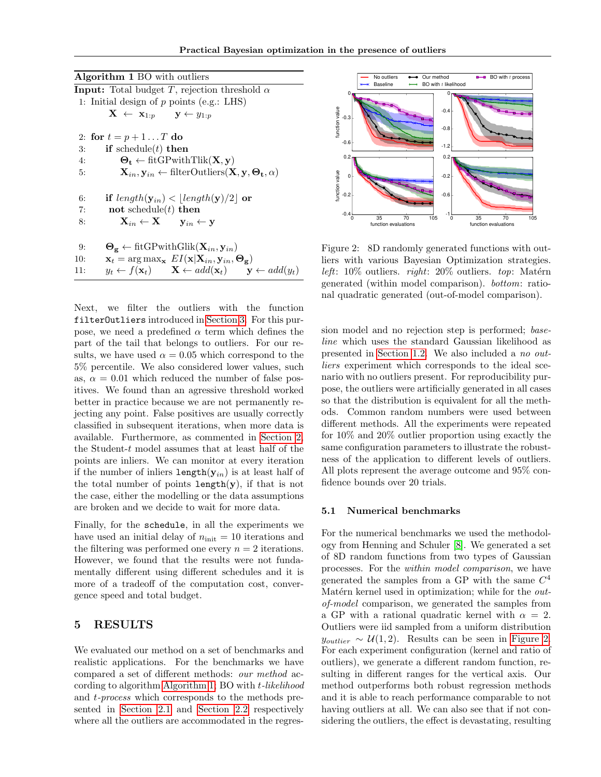<span id="page-5-1"></span>

| <b>Algorithm 1 BO</b> with outliers                                                                                          |
|------------------------------------------------------------------------------------------------------------------------------|
| <b>Input:</b> Total budget T, rejection threshold $\alpha$                                                                   |
| 1: Initial design of $p$ points (e.g.: LHS)                                                                                  |
| $\mathbf{X} \leftarrow \mathbf{x}_{1:p} \qquad \mathbf{y} \leftarrow y_{1:p}$                                                |
| 2: for $t = p + 1T$ do                                                                                                       |
| if schedule $(t)$ then<br>3:                                                                                                 |
| $\Theta_t \leftarrow \text{fitGPwithTlik}(\mathbf{X}, \mathbf{y})$<br>4:                                                     |
| $\mathbf{X}_{in}, \mathbf{y}_{in} \leftarrow \text{filterOutliers}(\mathbf{X}, \mathbf{y}, \mathbf{\Theta_t}, \alpha)$<br>5: |
| if $length(\mathbf{y}_{in}) <  length(\mathbf{y})/2 $ or<br>6:                                                               |
| not schedule $(t)$ then<br>7:                                                                                                |
| $\mathbf{X}_{in} \leftarrow \mathbf{X} \qquad \mathbf{y}_{in} \leftarrow \mathbf{y}$<br>8:                                   |
| $\mathbf{\Theta_g} \leftarrow \text{fitGPwithGlik}(\mathbf{X}_{in}, \mathbf{y}_{in})$<br>9:                                  |
| $\mathbf{x}_t = \arg \max_{\mathbf{x}} E I(\mathbf{x}   \mathbf{X}_{in}, \mathbf{y}_{in}, \Theta_{\mathbf{g}})$<br>10:       |
| $y_t \leftarrow f(\mathbf{x}_t) \qquad \mathbf{X} \leftarrow add(\mathbf{x}_t) \qquad \mathbf{y} \leftarrow add(y_t)$<br>11: |

Next, we filter the outliers with the function filterOutliers introduced in [Section 3.](#page-4-0) For this purpose, we need a predefined  $\alpha$  term which defines the part of the tail that belongs to outliers. For our results, we have used  $\alpha = 0.05$  which correspond to the 5% percentile. We also considered lower values, such as,  $\alpha = 0.01$  which reduced the number of false positives. We found than an agressive threshold worked better in practice because we are not permanently rejecting any point. False positives are usually correctly classified in subsequent iterations, when more data is available. Furthermore, as commented in [Section 2,](#page-2-0) the Student- $t$  model assumes that at least half of the points are inliers. We can monitor at every iteration if the number of inliers length $(y_{in})$  is at least half of the total number of points length $(y)$ , if that is not the case, either the modelling or the data assumptions are broken and we decide to wait for more data.

Finally, for the schedule, in all the experiments we have used an initial delay of  $n_{\text{init}} = 10$  iterations and the filtering was performed one every  $n = 2$  iterations. However, we found that the results were not fundamentally different using different schedules and it is more of a tradeoff of the computation cost, convergence speed and total budget.

### <span id="page-5-0"></span>5 RESULTS

We evaluated our method on a set of benchmarks and realistic applications. For the benchmarks we have compared a set of different methods: our method according to algorithm [Algorithm 1;](#page-5-1) BO with t-likelihood and t-process which corresponds to the methods presented in [Section 2.1](#page-2-1) and [Section 2.2](#page-3-4) respectively where all the outliers are accommodated in the regres-



<span id="page-5-2"></span>Figure 2: 8D randomly generated functions with outliers with various Bayesian Optimization strategies. left:  $10\%$  outliers. right:  $20\%$  outliers. top: Matérn generated (within model comparison). bottom: rational quadratic generated (out-of-model comparison).

sion model and no rejection step is performed; baseline which uses the standard Gaussian likelihood as presented in [Section 1.2.](#page-1-3) We also included a no outliers experiment which corresponds to the ideal scenario with no outliers present. For reproducibility purpose, the outliers were artificially generated in all cases so that the distribution is equivalent for all the methods. Common random numbers were used between different methods. All the experiments were repeated for 10% and 20% outlier proportion using exactly the same configuration parameters to illustrate the robustness of the application to different levels of outliers. All plots represent the average outcome and 95% confidence bounds over 20 trials.

#### 5.1 Numerical benchmarks

For the numerical benchmarks we used the methodology from Henning and Schuler [\[8\]](#page-8-15). We generated a set of 8D random functions from two types of Gaussian processes. For the within model comparison, we have generated the samples from a GP with the same  $C^4$ Matérn kernel used in optimization; while for the  $out$ of-model comparison, we generated the samples from a GP with a rational quadratic kernel with  $\alpha = 2$ . Outliers were iid sampled from a uniform distribution  $y_{outlier} \sim \mathcal{U}(1, 2)$ . Results can be seen in [Figure 2.](#page-5-2) For each experiment configuration (kernel and ratio of outliers), we generate a different random function, resulting in different ranges for the vertical axis. Our method outperforms both robust regression methods and it is able to reach performance comparable to not having outliers at all. We can also see that if not considering the outliers, the effect is devastating, resulting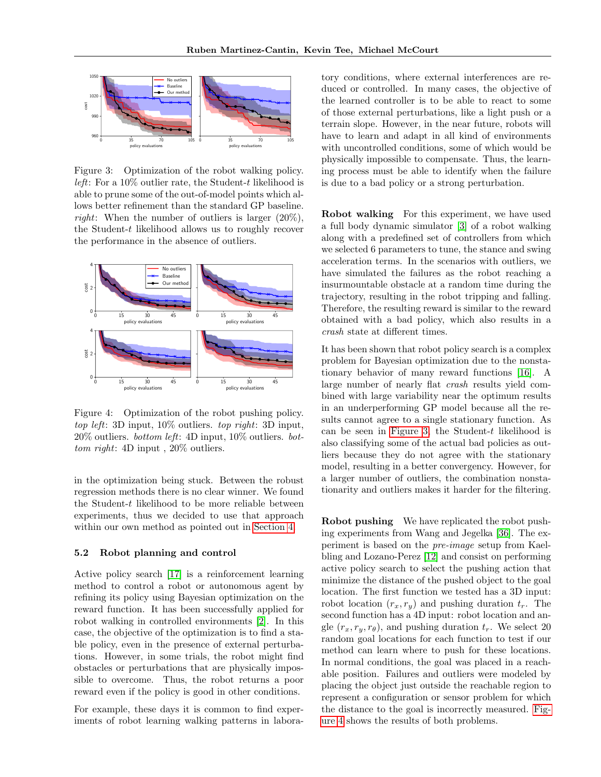

<span id="page-6-0"></span>Figure 3: Optimization of the robot walking policy. *left*: For a  $10\%$  outlier rate, the Student-t likelihood is able to prune some of the out-of-model points which allows better refinement than the standard GP baseline. *right*: When the number of outliers is larger  $(20\%)$ . the Student-t likelihood allows us to roughly recover the performance in the absence of outliers.



<span id="page-6-1"></span>Figure 4: Optimization of the robot pushing policy. top left: 3D input, 10% outliers. top right: 3D input, 20% outliers. bottom left: 4D input, 10% outliers. bottom right: 4D input, 20% outliers.

in the optimization being stuck. Between the robust regression methods there is no clear winner. We found the Student-t likelihood to be more reliable between experiments, thus we decided to use that approach within our own method as pointed out in [Section 4.](#page-4-1)

#### 5.2 Robot planning and control

Active policy search [\[17\]](#page-8-16) is a reinforcement learning method to control a robot or autonomous agent by refining its policy using Bayesian optimization on the reward function. It has been successfully applied for robot walking in controlled environments [\[2\]](#page-8-17). In this case, the objective of the optimization is to find a stable policy, even in the presence of external perturbations. However, in some trials, the robot might find obstacles or perturbations that are physically impossible to overcome. Thus, the robot returns a poor reward even if the policy is good in other conditions.

For example, these days it is common to find experiments of robot learning walking patterns in laboratory conditions, where external interferences are reduced or controlled. In many cases, the objective of the learned controller is to be able to react to some of those external perturbations, like a light push or a terrain slope. However, in the near future, robots will have to learn and adapt in all kind of environments with uncontrolled conditions, some of which would be physically impossible to compensate. Thus, the learning process must be able to identify when the failure is due to a bad policy or a strong perturbation.

Robot walking For this experiment, we have used a full body dynamic simulator [\[3\]](#page-8-18) of a robot walking along with a predefined set of controllers from which we selected 6 parameters to tune, the stance and swing acceleration terms. In the scenarios with outliers, we have simulated the failures as the robot reaching a insurmountable obstacle at a random time during the trajectory, resulting in the robot tripping and falling. Therefore, the resulting reward is similar to the reward obtained with a bad policy, which also results in a crash state at different times.

It has been shown that robot policy search is a complex problem for Bayesian optimization due to the nonstationary behavior of many reward functions [\[16\]](#page-8-19). A large number of nearly flat crash results yield combined with large variability near the optimum results in an underperforming GP model because all the results cannot agree to a single stationary function. As can be seen in [Figure 3,](#page-6-0) the Student- $t$  likelihood is also classifying some of the actual bad policies as outliers because they do not agree with the stationary model, resulting in a better convergency. However, for a larger number of outliers, the combination nonstationarity and outliers makes it harder for the filtering.

Robot pushing We have replicated the robot pushing experiments from Wang and Jegelka [\[36\]](#page-9-12). The experiment is based on the pre-image setup from Kaelbling and Lozano-Perez [\[12\]](#page-8-20) and consist on performing active policy search to select the pushing action that minimize the distance of the pushed object to the goal location. The first function we tested has a 3D input: robot location  $(r_x, r_y)$  and pushing duration  $t_r$ . The second function has a 4D input: robot location and angle  $(r_x, r_y, r_\theta)$ , and pushing duration  $t_r$ . We select 20 random goal locations for each function to test if our method can learn where to push for these locations. In normal conditions, the goal was placed in a reachable position. Failures and outliers were modeled by placing the object just outside the reachable region to represent a configuration or sensor problem for which the distance to the goal is incorrectly measured. [Fig](#page-6-1)[ure 4](#page-6-1) shows the results of both problems.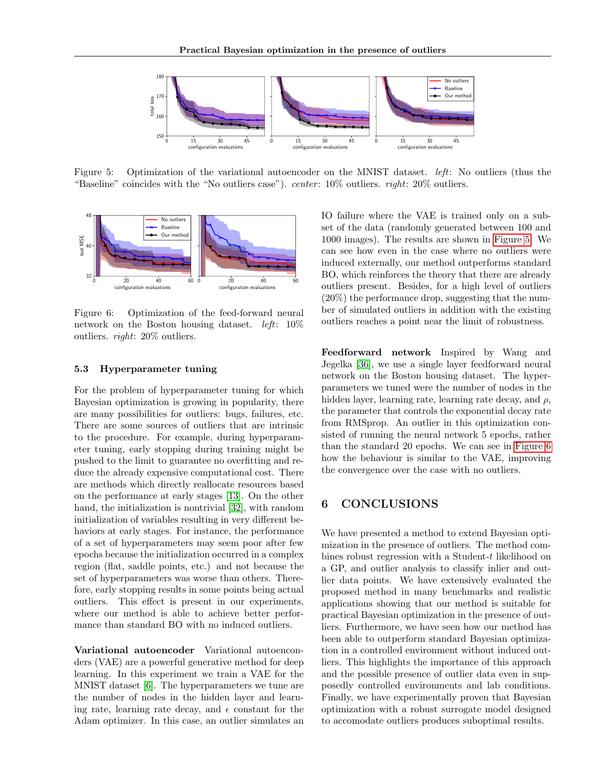

<span id="page-7-0"></span>Figure 5: Optimization of the variational autoencoder on the MNIST dataset. left: No outliers (thus the "Baseline" coincides with the "No outliers case"). *center*:  $10\%$  outliers. *right*:  $20\%$  outliers.



<span id="page-7-1"></span>Figure 6: Optimization of the feed-forward neural network on the Boston housing dataset. left: 10% outliers. right: 20% outliers.

#### 5.3 Hyperparameter tuning

For the problem of hyperparameter tuning for which Bayesian optimization is growing in popularity, there are many possibilities for outliers: bugs, failures, etc. There are some sources of outliers that are intrinsic to the procedure. For example, during hyperparameter tuning, early stopping during training might be pushed to the limit to guarantee no overfitting and reduce the already expensive computational cost. There are methods which directly reallocate resources based on the performance at early stages [\[13\]](#page-8-21). On the other hand, the initialization is nontrivial [\[32\]](#page-9-13), with random initialization of variables resulting in very different behaviors at early stages. For instance, the performance of a set of hyperparameters may seem poor after few epochs because the initialization occurred in a complex region (flat, saddle points, etc.) and not because the set of hyperparameters was worse than others. Therefore, early stopping results in some points being actual outliers. This effect is present in our experiments, where our method is able to achieve better performance than standard BO with no induced outliers.

Variational autoencoder Variational autoenconders (VAE) are a powerful generative method for deep learning. In this experiment we train a VAE for the MNIST dataset [\[6\]](#page-8-22). The hyperparameters we tune are the number of nodes in the hidden layer and learning rate, learning rate decay, and  $\epsilon$  constant for the Adam optimizer. In this case, an outlier simulates an

IO failure where the VAE is trained only on a subset of the data (randomly generated between 100 and 1000 images). The results are shown in [Figure 5.](#page-7-0) We can see how even in the case where no outliers were induced externally, our method outperforms standard BO, which reinforces the theory that there are already outliers present. Besides, for a high level of outliers  $(20\%)$  the performance drop, suggesting that the number of simulated outliers in addition with the existing outliers reaches a point near the limit of robustness.

Feedforward network Inspired by Wang and Jegelka [\[36\]](#page-9-12), we use a single layer feedforward neural network on the Boston housing dataset. The hyperparameters we tuned were the number of nodes in the hidden layer, learning rate, learning rate decay, and  $\rho$ , the parameter that controls the exponential decay rate from RMSprop. An outlier in this optimization consisted of running the neural network 5 epochs, rather than the standard 20 epochs. We can see in [Figure 6](#page-7-1) how the behaviour is similar to the VAE, improving the convergence over the case with no outliers.

# 6 CONCLUSIONS

We have presented a method to extend Bayesian optimization in the presence of outliers. The method combines robust regression with a Student-t likelihood on a GP, and outlier analysis to classify inlier and outlier data points. We have extensively evaluated the proposed method in many benchmarks and realistic applications showing that our method is suitable for practical Bayesian optimization in the presence of outliers. Furthermore, we have seen how our method has been able to outperform standard Bayesian optimization in a controlled environment without induced outliers. This highlights the importance of this approach and the possible presence of outlier data even in supposedly controlled environments and lab conditions. Finally, we have experimentally proven that Bayesian optimization with a robust surrogate model designed to accomodate outliers produces suboptimal results.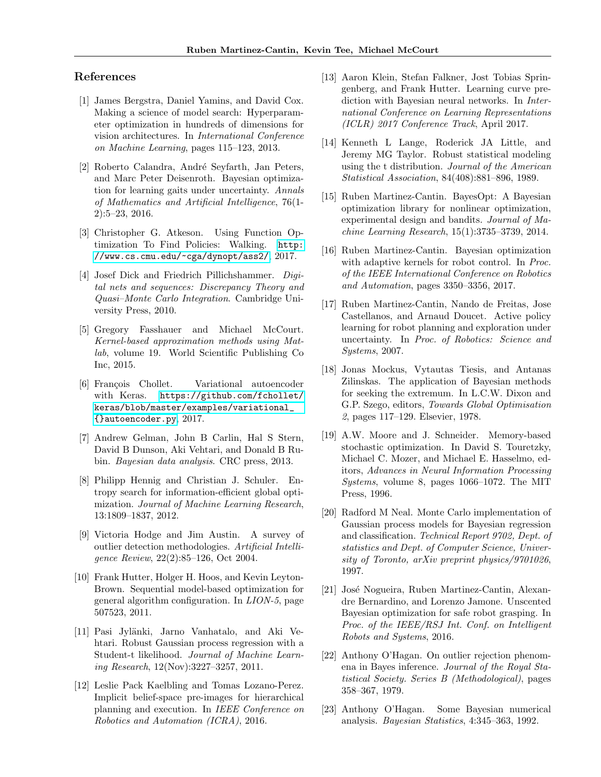### References

- <span id="page-8-8"></span>[1] James Bergstra, Daniel Yamins, and David Cox. Making a science of model search: Hyperparameter optimization in hundreds of dimensions for vision architectures. In International Conference on Machine Learning, pages 115–123, 2013.
- <span id="page-8-17"></span>[2] Roberto Calandra, André Seyfarth, Jan Peters, and Marc Peter Deisenroth. Bayesian optimization for learning gaits under uncertainty. Annals of Mathematics and Artificial Intelligence, 76(1- 2):5–23, 2016.
- <span id="page-8-18"></span>[3] Christopher G. Atkeson. Using Function Optimization To Find Policies: Walking. [http:](http://www.cs.cmu.edu/~cga/dynopt/ass2/) [//www.cs.cmu.edu/~cga/dynopt/ass2/](http://www.cs.cmu.edu/~cga/dynopt/ass2/), 2017.
- <span id="page-8-5"></span>[4] Josef Dick and Friedrich Pillichshammer. *Digi*tal nets and sequences: Discrepancy Theory and Quasi–Monte Carlo Integration. Cambridge University Press, 2010.
- <span id="page-8-9"></span>[5] Gregory Fasshauer and Michael McCourt. Kernel-based approximation methods using Matlab, volume 19. World Scientific Publishing Co Inc, 2015.
- <span id="page-8-22"></span>[6] François Chollet. Variational autoencoder with Keras. [https://github.com/fchollet/](https://github.com/fchollet/keras/blob/master/examples/variational_{}autoencoder.py) [keras/blob/master/examples/variational\\_](https://github.com/fchollet/keras/blob/master/examples/variational_{}autoencoder.py) [{}autoencoder.py](https://github.com/fchollet/keras/blob/master/examples/variational_{}autoencoder.py), 2017.
- <span id="page-8-1"></span>[7] Andrew Gelman, John B Carlin, Hal S Stern, David B Dunson, Aki Vehtari, and Donald B Rubin. Bayesian data analysis. CRC press, 2013.
- <span id="page-8-15"></span>[8] Philipp Hennig and Christian J. Schuler. Entropy search for information-efficient global optimization. Journal of Machine Learning Research, 13:1809–1837, 2012.
- <span id="page-8-3"></span>[9] Victoria Hodge and Jim Austin. A survey of outlier detection methodologies. Artificial Intelligence Review, 22(2):85–126, Oct 2004.
- <span id="page-8-7"></span>[10] Frank Hutter, Holger H. Hoos, and Kevin Leyton-Brown. Sequential model-based optimization for general algorithm configuration. In LION-5, page 507523, 2011.
- <span id="page-8-10"></span>[11] Pasi Jylänki, Jarno Vanhatalo, and Aki Vehtari. Robust Gaussian process regression with a Student-t likelihood. Journal of Machine Learning Research, 12(Nov):3227–3257, 2011.
- <span id="page-8-20"></span>[12] Leslie Pack Kaelbling and Tomas Lozano-Perez. Implicit belief-space pre-images for hierarchical planning and execution. In IEEE Conference on Robotics and Automation (ICRA), 2016.
- <span id="page-8-21"></span>[13] Aaron Klein, Stefan Falkner, Jost Tobias Springenberg, and Frank Hutter. Learning curve prediction with Bayesian neural networks. In International Conference on Learning Representations (ICLR) 2017 Conference Track, April 2017.
- <span id="page-8-11"></span>[14] Kenneth L Lange, Roderick JA Little, and Jeremy MG Taylor. Robust statistical modeling using the t distribution. Journal of the American Statistical Association, 84(408):881–896, 1989.
- <span id="page-8-4"></span>[15] Ruben Martinez-Cantin. BayesOpt: A Bayesian optimization library for nonlinear optimization, experimental design and bandits. Journal of Machine Learning Research, 15(1):3735–3739, 2014.
- <span id="page-8-19"></span>[16] Ruben Martinez-Cantin. Bayesian optimization with adaptive kernels for robot control. In *Proc.* of the IEEE International Conference on Robotics and Automation, pages 3350–3356, 2017.
- <span id="page-8-16"></span>[17] Ruben Martinez-Cantin, Nando de Freitas, Jose Castellanos, and Arnaud Doucet. Active policy learning for robot planning and exploration under uncertainty. In Proc. of Robotics: Science and Systems, 2007.
- <span id="page-8-6"></span>[18] Jonas Mockus, Vytautas Tiesis, and Antanas Zilinskas. The application of Bayesian methods for seeking the extremum. In L.C.W. Dixon and G.P. Szego, editors, Towards Global Optimisation 2, pages 117–129. Elsevier, 1978.
- <span id="page-8-0"></span>[19] A.W. Moore and J. Schneider. Memory-based stochastic optimization. In David S. Touretzky, Michael C. Mozer, and Michael E. Hasselmo, editors, Advances in Neural Information Processing Systems, volume 8, pages 1066–1072. The MIT Press, 1996.
- <span id="page-8-13"></span>[20] Radford M Neal. Monte Carlo implementation of Gaussian process models for Bayesian regression and classification. Technical Report 9702, Dept. of statistics and Dept. of Computer Science, University of Toronto, arXiv preprint physics/9701026, 1997.
- <span id="page-8-2"></span>[21] José Nogueira, Ruben Martinez-Cantin, Alexandre Bernardino, and Lorenzo Jamone. Unscented Bayesian optimization for safe robot grasping. In Proc. of the IEEE/RSJ Int. Conf. on Intelligent Robots and Systems, 2016.
- <span id="page-8-12"></span>[22] Anthony O'Hagan. On outlier rejection phenomena in Bayes inference. Journal of the Royal Statistical Society. Series B (Methodological), pages 358–367, 1979.
- <span id="page-8-14"></span>[23] Anthony O'Hagan. Some Bayesian numerical analysis. Bayesian Statistics, 4:345–363, 1992.